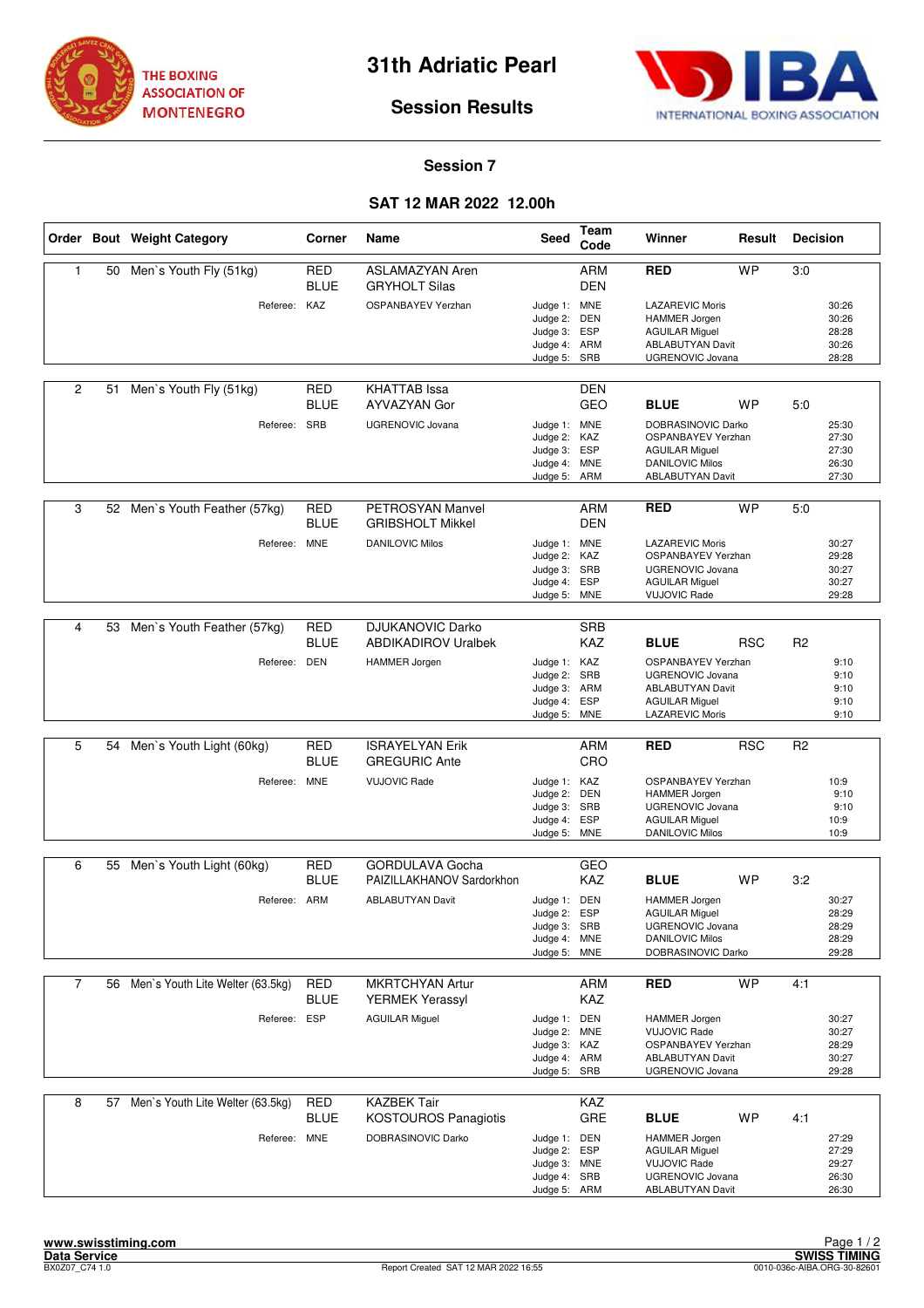



## **Session Results**

## **Session 7**

## **SAT 12 MAR 2022 12.00h**

|                |    | Order Bout Weight Category          | Corner                    | <b>Name</b>                                           | <b>Seed</b>                                                                  | Team<br>Code                    | Winner                                                                                                                        | Result     | <b>Decision</b> |                                           |
|----------------|----|-------------------------------------|---------------------------|-------------------------------------------------------|------------------------------------------------------------------------------|---------------------------------|-------------------------------------------------------------------------------------------------------------------------------|------------|-----------------|-------------------------------------------|
| $\mathbf{1}$   | 50 | Men's Youth Fly (51kg)              | RED<br><b>BLUE</b>        | <b>ASLAMAZYAN Aren</b><br><b>GRYHOLT Silas</b>        |                                                                              | <b>ARM</b><br><b>DEN</b>        | <b>RED</b>                                                                                                                    | <b>WP</b>  | 3:0             |                                           |
|                |    | Referee:                            | KAZ                       | OSPANBAYEV Yerzhan                                    | Judge 1: MNE<br>Judge 2:<br>Judge 3:<br>Judge 4: ARM<br>Judge 5:             | <b>DEN</b><br><b>ESP</b><br>SRB | <b>LAZAREVIC Moris</b><br>HAMMER Jorgen<br><b>AGUILAR Miguel</b><br><b>ABLABUTYAN Davit</b><br><b>UGRENOVIC Jovana</b>        |            |                 | 30:26<br>30:26<br>28:28<br>30:26<br>28:28 |
| $\overline{c}$ | 51 | Men's Youth Fly (51kg)              | <b>RED</b><br><b>BLUE</b> | <b>KHATTAB</b> Issa<br>AYVAZYAN Gor                   |                                                                              | DEN<br><b>GEO</b>               | <b>BLUE</b>                                                                                                                   | <b>WP</b>  | 5:0             |                                           |
|                |    | Referee:                            | SRB                       | <b>UGRENOVIC Jovana</b>                               | Judge 1: MNE<br>Judge 2:<br>Judge 3: ESP<br>Judge 4: MNE<br>Judge 5: ARM     | KAZ                             | DOBRASINOVIC Darko<br><b>OSPANBAYEV Yerzhan</b><br><b>AGUILAR Miguel</b><br><b>DANILOVIC Milos</b><br><b>ABLABUTYAN Davit</b> |            |                 | 25:30<br>27:30<br>27:30<br>26:30<br>27:30 |
| 3              |    | 52 Men's Youth Feather (57kg)       | <b>RED</b><br><b>BLUE</b> | PETROSYAN Manvel<br><b>GRIBSHOLT Mikkel</b>           |                                                                              | ARM<br><b>DEN</b>               | <b>RED</b>                                                                                                                    | <b>WP</b>  | 5:0             |                                           |
|                |    | Referee:                            | <b>MNE</b>                | <b>DANILOVIC Milos</b>                                | Judge 1: MNE<br>Judge 2: KAZ<br>Judge 3: SRB<br>Judge 4: ESP<br>Judge 5:     | <b>MNE</b>                      | <b>LAZAREVIC Moris</b><br>OSPANBAYEV Yerzhan<br><b>UGRENOVIC Jovana</b><br><b>AGUILAR Miguel</b><br><b>VUJOVIC Rade</b>       |            |                 | 30:27<br>29:28<br>30:27<br>30:27<br>29:28 |
|                |    |                                     |                           |                                                       |                                                                              |                                 |                                                                                                                               |            |                 |                                           |
| $\overline{4}$ | 53 | Men's Youth Feather (57kg)          | <b>RED</b><br><b>BLUE</b> | <b>DJUKANOVIC Darko</b><br><b>ABDIKADIROV Uralbek</b> |                                                                              | <b>SRB</b><br>KAZ               | <b>BLUE</b>                                                                                                                   | <b>RSC</b> | R <sub>2</sub>  |                                           |
|                |    | Referee: DEN                        |                           | <b>HAMMER</b> Jorgen                                  | Judge 1: KAZ<br>Judge 2:<br>Judge 3: ARM<br>Judge 4: ESP<br>Judge 5: MNE     | SRB                             | OSPANBAYEV Yerzhan<br><b>UGRENOVIC Jovana</b><br><b>ABLABUTYAN Davit</b><br><b>AGUILAR Miguel</b><br>LAZAREVIC Moris          |            |                 | 9:10<br>9:10<br>9:10<br>9:10<br>9:10      |
|                |    |                                     |                           |                                                       |                                                                              |                                 |                                                                                                                               |            |                 |                                           |
| 5              | 54 | Men's Youth Light (60kg)            | <b>RED</b><br><b>BLUE</b> | <b>ISRAYELYAN Erik</b><br><b>GREGURIC Ante</b>        |                                                                              | <b>ARM</b><br>CRO               | <b>RED</b>                                                                                                                    | <b>RSC</b> | R <sub>2</sub>  |                                           |
|                |    | Referee: MNE                        |                           | <b>VUJOVIC Rade</b>                                   | Judge 1: KAZ<br>Judge 2: DEN<br>Judge 3:<br>Judge 4: ESP<br>Judge 5: MNE     | SRB                             | OSPANBAYEV Yerzhan<br>HAMMER Jorgen<br>UGRENOVIC Jovana<br><b>AGUILAR Miguel</b><br><b>DANILOVIC Milos</b>                    |            |                 | 10:9<br>9:10<br>9:10<br>10:9<br>10:9      |
|                |    |                                     |                           |                                                       |                                                                              |                                 |                                                                                                                               |            |                 |                                           |
| 6              | 55 | Men's Youth Light (60kg)            | RED<br><b>BLUE</b>        | <b>GORDULAVA Gocha</b><br>PAIZILLAKHANOV Sardorkhon   |                                                                              | GEO<br><b>KAZ</b>               | <b>BLUE</b>                                                                                                                   | <b>WP</b>  | 3:2             |                                           |
|                |    | Referee: ARM                        |                           | <b>ABLABUTYAN Davit</b>                               | Judge 1: DEN<br>Judge 2:<br>Judge 3: SRB<br>Judge 4: MNE<br>Judge 5: MNE     | ESP                             | <b>HAMMER Jorgen</b><br><b>AGUILAR Miguel</b><br>UGRENOVIC Jovana<br><b>DANILOVIC Milos</b><br>DOBRASINOVIC Darko             |            |                 | 30:27<br>28:29<br>28:29<br>28:29<br>29:28 |
| $\overline{7}$ |    | 56 Men's Youth Lite Welter (63.5kg) | <b>RED</b><br><b>BLUE</b> | <b>MKRTCHYAN Artur</b><br><b>YERMEK Yerassyl</b>      |                                                                              | <b>ARM</b><br>KAZ               | <b>RED</b>                                                                                                                    | <b>WP</b>  | 4:1             |                                           |
|                |    | Referee: ESP                        |                           | <b>AGUILAR Miguel</b>                                 | Judge 1: DEN<br>Judge 2: MNE<br>Judge 3: KAZ<br>Judge 4: ARM<br>Judge 5: SRB |                                 | <b>HAMMER Jorgen</b><br><b>VUJOVIC Rade</b><br>OSPANBAYEV Yerzhan<br><b>ABLABUTYAN Davit</b><br>UGRENOVIC Jovana              |            |                 | 30:27<br>30:27<br>28:29<br>30:27<br>29:28 |
| 8              | 57 | Men's Youth Lite Welter (63.5kg)    | RED<br><b>BLUE</b>        | <b>KAZBEK Tair</b><br><b>KOSTOUROS Panagiotis</b>     |                                                                              | KAZ<br>GRE                      | <b>BLUE</b>                                                                                                                   | <b>WP</b>  | 4:1             |                                           |
|                |    | Referee: MNE                        |                           | DOBRASINOVIC Darko                                    | Judge 1: DEN<br>Judge 2: ESP<br>Judge 3: MNE<br>Judge 4: SRB<br>Judge 5: ARM |                                 | <b>HAMMER Jorgen</b><br><b>AGUILAR Miguel</b><br><b>VUJOVIC Rade</b><br>UGRENOVIC Jovana<br><b>ABLABUTYAN Davit</b>           |            |                 | 27:29<br>27:29<br>29:27<br>26:30<br>26:30 |